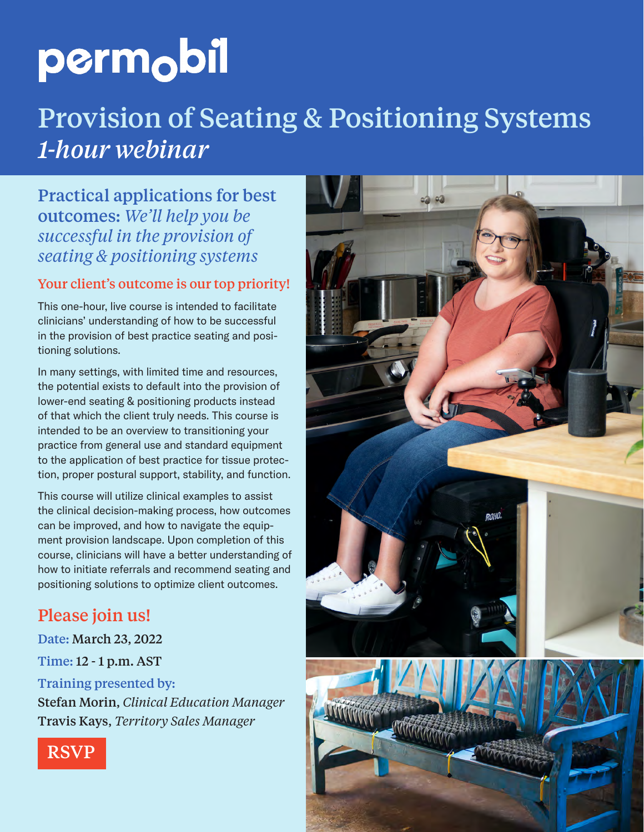## Provision of Seating & Positioning Systems *1-hour webinar*

### Practical applications for best outcomes: *We'll help you be successful in the provision of seating & positioning systems*

#### Your client's outcome is our top priority!

This one-hour, live course is intended to facilitate clinicians' understanding of how to be successful in the provision of best practice seating and positioning solutions.

In many settings, with limited time and resources, the potential exists to default into the provision of lower-end seating & positioning products instead of that which the client truly needs. This course is intended to be an overview to transitioning your practice from general use and standard equipment to the application of best practice for tissue protection, proper postural support, stability, and function.

This course will utilize clinical examples to assist the clinical decision-making process, how outcomes can be improved, and how to navigate the equipment provision landscape. Upon completion of this course, clinicians will have a better understanding of how to initiate referrals and recommend seating and positioning solutions to optimize client outcomes.

## Please join us!

Date: March 23, 2022

Time: 12 - 1 p.m. AST

#### Training presented by:



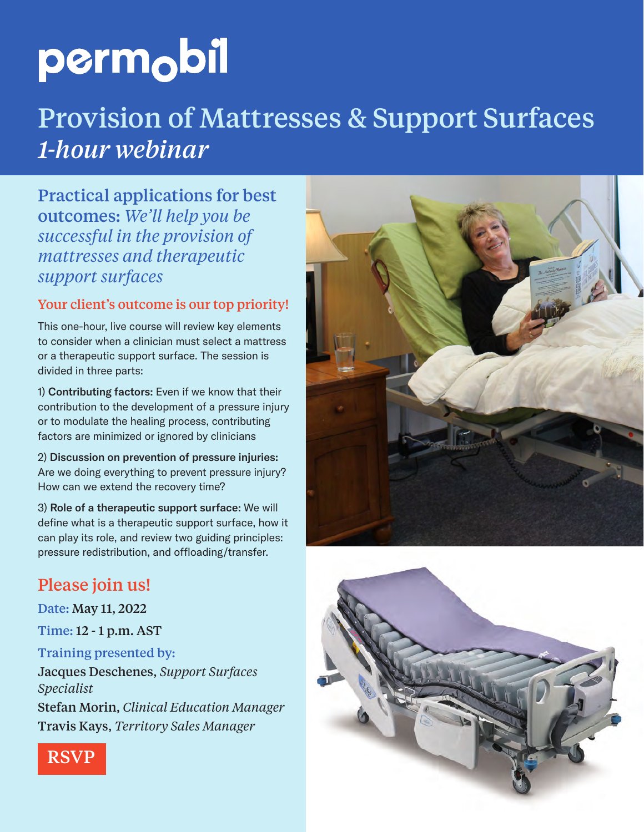## Provision of Mattresses & Support Surfaces *1-hour webinar*

Practical applications for best outcomes: *We'll help you be successful in the provision of mattresses and therapeutic support surfaces* 

#### Your client's outcome is our top priority!

This one-hour, live course will review key elements to consider when a clinician must select a mattress or a therapeutic support surface. The session is divided in three parts:

1) Contributing factors: Even if we know that their contribution to the development of a pressure injury or to modulate the healing process, contributing factors are minimized or ignored by clinicians

2) Discussion on prevention of pressure injuries: Are we doing everything to prevent pressure injury? How can we extend the recovery time?

3) Role of a therapeutic support surface: We will define what is a therapeutic support surface, how it can play its role, and review two guiding principles: pressure redistribution, and offloading/transfer.

## Please join us!

Date: May 11, 2022

Time: 12 - 1 p.m. AST

#### Training presented by:

Jacques Deschenes, *Support Surfaces Specialist*





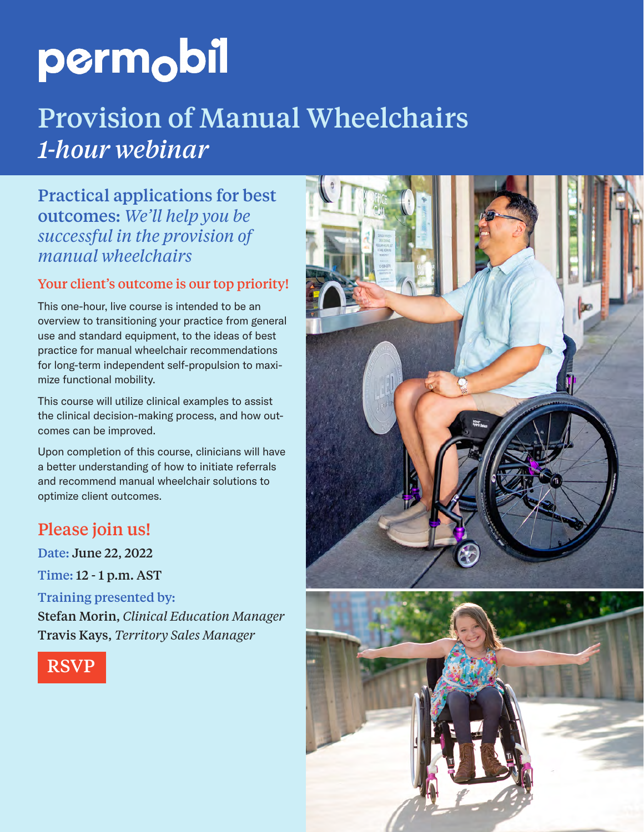# Provision of Manual Wheelchairs *1-hour webinar*

Practical applications for best outcomes: *We'll help you be successful in the provision of manual wheelchairs* 

#### Your client's outcome is our top priority!

This one-hour, live course is intended to be an overview to transitioning your practice from general use and standard equipment, to the ideas of best practice for manual wheelchair recommendations for long-term independent self-propulsion to maximize functional mobility.

This course will utilize clinical examples to assist the clinical decision-making process, and how outcomes can be improved.

Upon completion of this course, clinicians will have a better understanding of how to initiate referrals and recommend manual wheelchair solutions to optimize client outcomes.

### Please join us!

Date: June 22, 2022

Time: 12 - 1 p.m. AST

#### Training presented by:

[RSVP](https://teams.microsoft.com/registration/GykVUZ-mjUmqEXDAV0198A,hVC04Chj2UqI3q966ZTCFA,MPAKqGSR-US99yYpXtGNEQ,MVICM-_XpEGakCwjoZpr9g,wK-GDEZa-0GS0eCExpIO2Q,vZows2bqF0G9eEQpndL32w?mode=read&tenantId=5115291b-a69f-498d-aa11-70c0574d7df0)



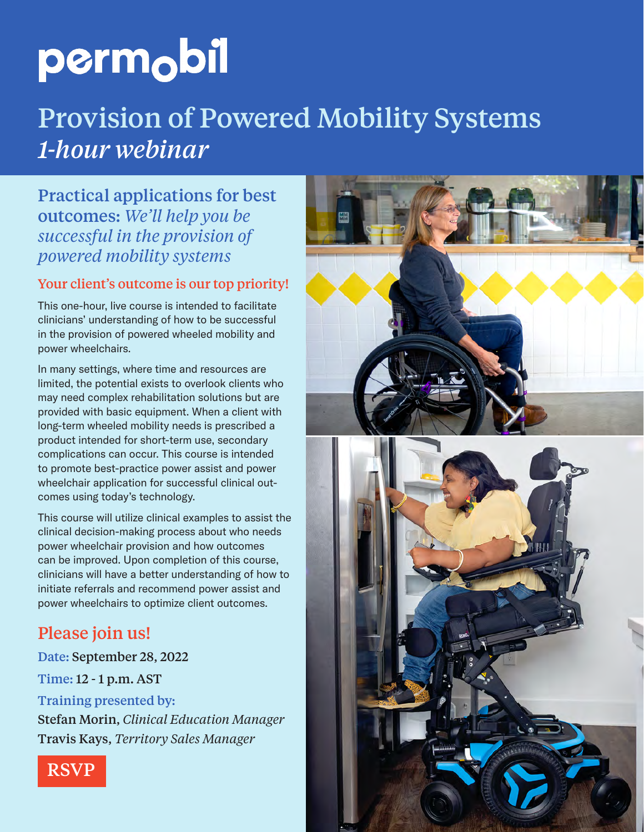# Provision of Powered Mobility Systems *1-hour webinar*

Practical applications for best outcomes: *We'll help you be successful in the provision of powered mobility systems*

#### Your client's outcome is our top priority!

This one-hour, live course is intended to facilitate clinicians' understanding of how to be successful in the provision of powered wheeled mobility and power wheelchairs.

In many settings, where time and resources are limited, the potential exists to overlook clients who may need complex rehabilitation solutions but are provided with basic equipment. When a client with long-term wheeled mobility needs is prescribed a product intended for short-term use, secondary complications can occur. This course is intended to promote best-practice power assist and power wheelchair application for successful clinical outcomes using today's technology.

This course will utilize clinical examples to assist the clinical decision-making process about who needs power wheelchair provision and how outcomes can be improved. Upon completion of this course, clinicians will have a better understanding of how to initiate referrals and recommend power assist and power wheelchairs to optimize client outcomes.

### Please join us!

Date: September 28, 2022

Time: 12 - 1 p.m. AST

Training presented by: